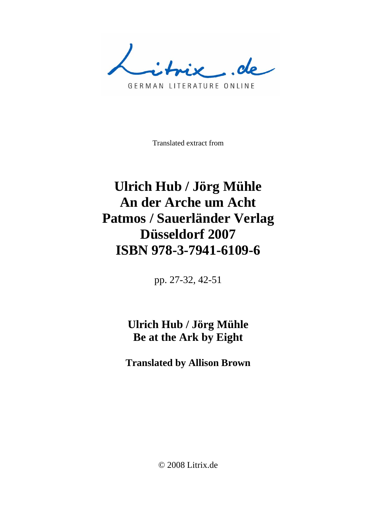..de

GERMAN LITERATURE ONLINE

Translated extract from

## **Ulrich Hub / Jörg Mühle An der Arche um Acht Patmos / Sauerländer Verlag Düsseldorf 2007 ISBN 978-3-7941-6109-6**

pp. 27-32, 42-51

## **Ulrich Hub / Jörg Mühle Be at the Ark by Eight**

**Translated by Allison Brown** 

© 2008 Litrix.de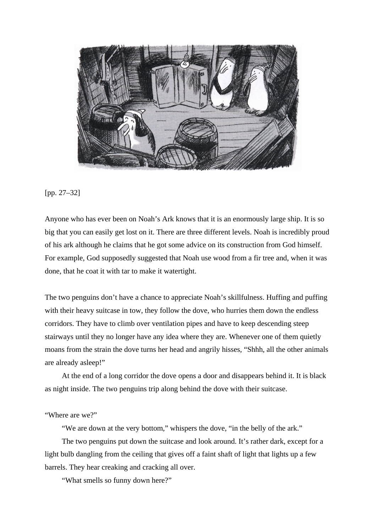

## [pp. 27–32]

Anyone who has ever been on Noah's Ark knows that it is an enormously large ship. It is so big that you can easily get lost on it. There are three different levels. Noah is incredibly proud of his ark although he claims that he got some advice on its construction from God himself. For example, God supposedly suggested that Noah use wood from a fir tree and, when it was done, that he coat it with tar to make it watertight.

The two penguins don't have a chance to appreciate Noah's skillfulness. Huffing and puffing with their heavy suitcase in tow, they follow the dove, who hurries them down the endless corridors. They have to climb over ventilation pipes and have to keep descending steep stairways until they no longer have any idea where they are. Whenever one of them quietly moans from the strain the dove turns her head and angrily hisses, "Shhh, all the other animals are already asleep!"

 At the end of a long corridor the dove opens a door and disappears behind it. It is black as night inside. The two penguins trip along behind the dove with their suitcase.

"Where are we?"

"We are down at the very bottom," whispers the dove, "in the belly of the ark."

 The two penguins put down the suitcase and look around. It's rather dark, except for a light bulb dangling from the ceiling that gives off a faint shaft of light that lights up a few barrels. They hear creaking and cracking all over.

"What smells so funny down here?"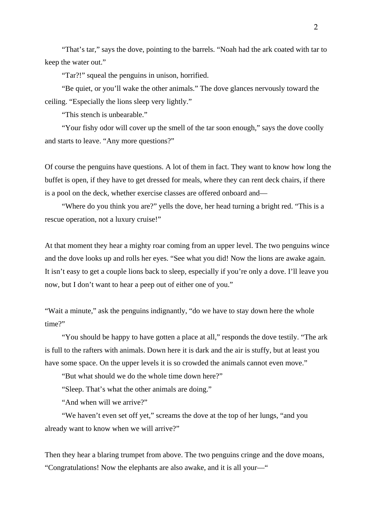"That's tar," says the dove, pointing to the barrels. "Noah had the ark coated with tar to keep the water out."

"Tar?!" squeal the penguins in unison, horrified.

 "Be quiet, or you'll wake the other animals." The dove glances nervously toward the ceiling. "Especially the lions sleep very lightly."

"This stench is unbearable."

 "Your fishy odor will cover up the smell of the tar soon enough," says the dove coolly and starts to leave. "Any more questions?"

Of course the penguins have questions. A lot of them in fact. They want to know how long the buffet is open, if they have to get dressed for meals, where they can rent deck chairs, if there is a pool on the deck, whether exercise classes are offered onboard and—

 "Where do you think you are?" yells the dove, her head turning a bright red. "This is a rescue operation, not a luxury cruise!"

At that moment they hear a mighty roar coming from an upper level. The two penguins wince and the dove looks up and rolls her eyes. "See what you did! Now the lions are awake again. It isn't easy to get a couple lions back to sleep, especially if you're only a dove. I'll leave you now, but I don't want to hear a peep out of either one of you."

"Wait a minute," ask the penguins indignantly, "do we have to stay down here the whole time?"

 "You should be happy to have gotten a place at all," responds the dove testily. "The ark is full to the rafters with animals. Down here it is dark and the air is stuffy, but at least you have some space. On the upper levels it is so crowded the animals cannot even move."

"But what should we do the whole time down here?"

"Sleep. That's what the other animals are doing."

"And when will we arrive?"

 "We haven't even set off yet," screams the dove at the top of her lungs, "and you already want to know when we will arrive?"

Then they hear a blaring trumpet from above. The two penguins cringe and the dove moans, "Congratulations! Now the elephants are also awake, and it is all your—"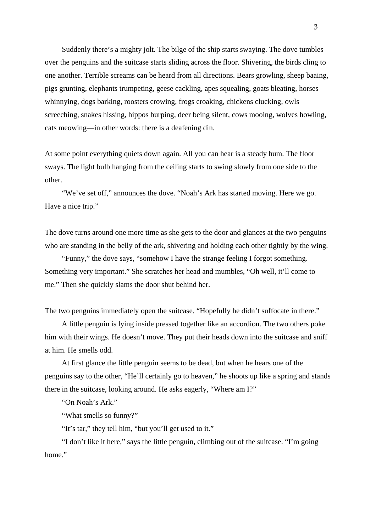Suddenly there's a mighty jolt. The bilge of the ship starts swaying. The dove tumbles over the penguins and the suitcase starts sliding across the floor. Shivering, the birds cling to one another. Terrible screams can be heard from all directions. Bears growling, sheep baaing, pigs grunting, elephants trumpeting, geese cackling, apes squealing, goats bleating, horses whinnying, dogs barking, roosters crowing, frogs croaking, chickens clucking, owls screeching, snakes hissing, hippos burping, deer being silent, cows mooing, wolves howling, cats meowing—in other words: there is a deafening din.

At some point everything quiets down again. All you can hear is a steady hum. The floor sways. The light bulb hanging from the ceiling starts to swing slowly from one side to the other.

 "We've set off," announces the dove. "Noah's Ark has started moving. Here we go. Have a nice trip."

The dove turns around one more time as she gets to the door and glances at the two penguins who are standing in the belly of the ark, shivering and holding each other tightly by the wing.

 "Funny," the dove says, "somehow I have the strange feeling I forgot something. Something very important." She scratches her head and mumbles, "Oh well, it'll come to me." Then she quickly slams the door shut behind her.

The two penguins immediately open the suitcase. "Hopefully he didn't suffocate in there."

 A little penguin is lying inside pressed together like an accordion. The two others poke him with their wings. He doesn't move. They put their heads down into the suitcase and sniff at him. He smells odd.

 At first glance the little penguin seems to be dead, but when he hears one of the penguins say to the other, "He'll certainly go to heaven," he shoots up like a spring and stands there in the suitcase, looking around. He asks eagerly, "Where am I?"

"On Noah's Ark."

"What smells so funny?"

"It's tar," they tell him, "but you'll get used to it."

 "I don't like it here," says the little penguin, climbing out of the suitcase. "I'm going home."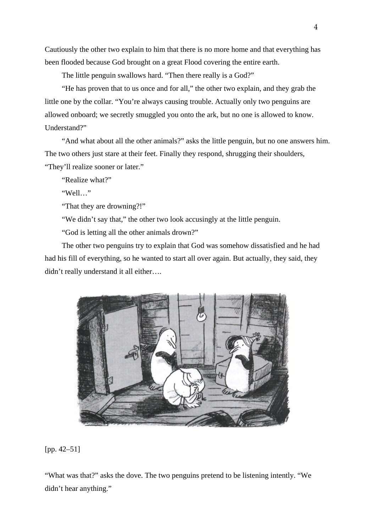Cautiously the other two explain to him that there is no more home and that everything has been flooded because God brought on a great Flood covering the entire earth.

The little penguin swallows hard. "Then there really is a God?"

 "He has proven that to us once and for all," the other two explain, and they grab the little one by the collar. "You're always causing trouble. Actually only two penguins are allowed onboard; we secretly smuggled you onto the ark, but no one is allowed to know. Understand?"

 "And what about all the other animals?" asks the little penguin, but no one answers him. The two others just stare at their feet. Finally they respond, shrugging their shoulders, "They'll realize sooner or later."

"Realize what?"

"Well…"

"That they are drowning?!"

"We didn't say that," the other two look accusingly at the little penguin.

"God is letting all the other animals drown?"

 The other two penguins try to explain that God was somehow dissatisfied and he had had his fill of everything, so he wanted to start all over again. But actually, they said, they didn't really understand it all either….



[pp. 42–51]

"What was that?" asks the dove. The two penguins pretend to be listening intently. "We didn't hear anything."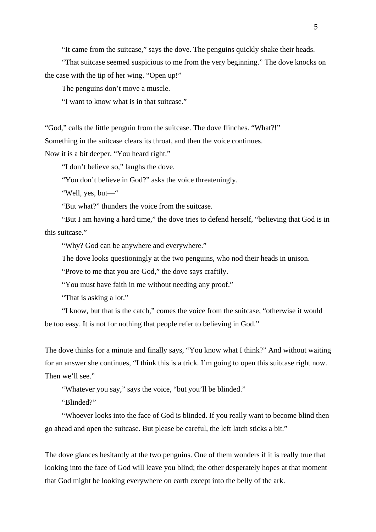"It came from the suitcase," says the dove. The penguins quickly shake their heads.

 "That suitcase seemed suspicious to me from the very beginning." The dove knocks on the case with the tip of her wing. "Open up!"

The penguins don't move a muscle.

"I want to know what is in that suitcase."

"God," calls the little penguin from the suitcase. The dove flinches. "What?!" Something in the suitcase clears its throat, and then the voice continues.

Now it is a bit deeper. "You heard right."

"I don't believe so," laughs the dove.

"You don't believe in God?" asks the voice threateningly.

"Well, yes, but—"

"But what?" thunders the voice from the suitcase.

 "But I am having a hard time," the dove tries to defend herself, "believing that God is in this suitcase."

"Why? God can be anywhere and everywhere."

The dove looks questioningly at the two penguins, who nod their heads in unison.

"Prove to me that you are God," the dove says craftily.

"You must have faith in me without needing any proof."

"That is asking a lot."

 "I know, but that is the catch," comes the voice from the suitcase, "otherwise it would be too easy. It is not for nothing that people refer to believing in God."

The dove thinks for a minute and finally says, "You know what I think?" And without waiting for an answer she continues, "I think this is a trick. I'm going to open this suitcase right now. Then we'll see."

"Whatever you say," says the voice, "but you'll be blinded."

"Blinded?"

 "Whoever looks into the face of God is blinded. If you really want to become blind then go ahead and open the suitcase. But please be careful, the left latch sticks a bit."

The dove glances hesitantly at the two penguins. One of them wonders if it is really true that looking into the face of God will leave you blind; the other desperately hopes at that moment that God might be looking everywhere on earth except into the belly of the ark.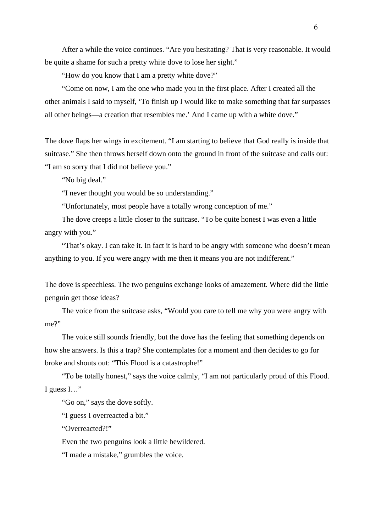After a while the voice continues. "Are you hesitating? That is very reasonable. It would be quite a shame for such a pretty white dove to lose her sight."

"How do you know that I am a pretty white dove?"

 "Come on now, I am the one who made you in the first place. After I created all the other animals I said to myself, 'To finish up I would like to make something that far surpasses all other beings—a creation that resembles me.' And I came up with a white dove."

The dove flaps her wings in excitement. "I am starting to believe that God really is inside that suitcase." She then throws herself down onto the ground in front of the suitcase and calls out: "I am so sorry that I did not believe you."

"No big deal."

"I never thought you would be so understanding."

"Unfortunately, most people have a totally wrong conception of me."

 The dove creeps a little closer to the suitcase. "To be quite honest I was even a little angry with you."

 "That's okay. I can take it. In fact it is hard to be angry with someone who doesn't mean anything to you. If you were angry with me then it means you are not indifferent."

The dove is speechless. The two penguins exchange looks of amazement. Where did the little penguin get those ideas?

 The voice from the suitcase asks, "Would you care to tell me why you were angry with me?"

 The voice still sounds friendly, but the dove has the feeling that something depends on how she answers. Is this a trap? She contemplates for a moment and then decides to go for broke and shouts out: "This Flood is a catastrophe!"

 "To be totally honest," says the voice calmly, "I am not particularly proud of this Flood. I guess I…"

"Go on," says the dove softly.

"I guess I overreacted a bit."

"Overreacted?!"

Even the two penguins look a little bewildered.

"I made a mistake," grumbles the voice.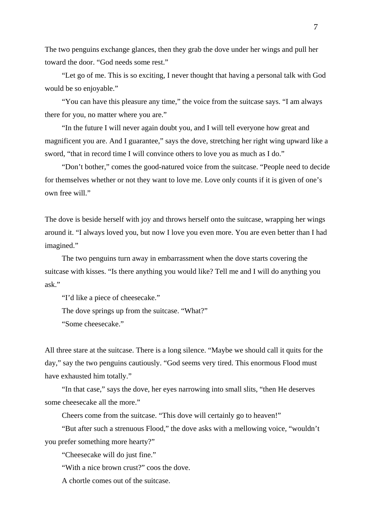The two penguins exchange glances, then they grab the dove under her wings and pull her toward the door. "God needs some rest."

 "Let go of me. This is so exciting, I never thought that having a personal talk with God would be so enjoyable."

 "You can have this pleasure any time," the voice from the suitcase says. "I am always there for you, no matter where you are."

 "In the future I will never again doubt you, and I will tell everyone how great and magnificent you are. And I guarantee," says the dove, stretching her right wing upward like a sword, "that in record time I will convince others to love you as much as I do."

 "Don't bother," comes the good-natured voice from the suitcase. "People need to decide for themselves whether or not they want to love me. Love only counts if it is given of one's own free will."

The dove is beside herself with joy and throws herself onto the suitcase, wrapping her wings around it. "I always loved you, but now I love you even more. You are even better than I had imagined."

 The two penguins turn away in embarrassment when the dove starts covering the suitcase with kisses. "Is there anything you would like? Tell me and I will do anything you ask."

"I'd like a piece of cheesecake."

The dove springs up from the suitcase. "What?"

"Some cheesecake."

All three stare at the suitcase. There is a long silence. "Maybe we should call it quits for the day," say the two penguins cautiously. "God seems very tired. This enormous Flood must have exhausted him totally."

 "In that case," says the dove, her eyes narrowing into small slits, "then He deserves some cheesecake all the more."

Cheers come from the suitcase. "This dove will certainly go to heaven!"

 "But after such a strenuous Flood," the dove asks with a mellowing voice, "wouldn't you prefer something more hearty?"

"Cheesecake will do just fine."

"With a nice brown crust?" coos the dove.

A chortle comes out of the suitcase.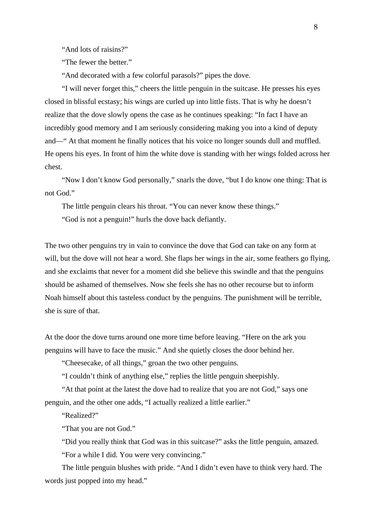"And lots of raisins?"

"The fewer the better."

"And decorated with a few colorful parasols?" pipes the dove.

 "I will never forget this," cheers the little penguin in the suitcase. He presses his eyes closed in blissful ecstasy; his wings are curled up into little fists. That is why he doesn't realize that the dove slowly opens the case as he continues speaking: "In fact I have an incredibly good memory and I am seriously considering making you into a kind of deputy and—" At that moment he finally notices that his voice no longer sounds dull and muffled. He opens his eyes. In front of him the white dove is standing with her wings folded across her chest.

 "Now I don't know God personally," snarls the dove, "but I do know one thing: That is not God."

The little penguin clears his throat. "You can never know these things."

"God is not a penguin!" hurls the dove back defiantly.

The two other penguins try in vain to convince the dove that God can take on any form at will, but the dove will not hear a word. She flaps her wings in the air, some feathers go flying, and she exclaims that never for a moment did she believe this swindle and that the penguins should be ashamed of themselves. Now she feels she has no other recourse but to inform Noah himself about this tasteless conduct by the penguins. The punishment will be terrible, she is sure of that.

At the door the dove turns around one more time before leaving. "Here on the ark you penguins will have to face the music." And she quietly closes the door behind her.

"Cheesecake, of all things," groan the two other penguins.

"I couldn't think of anything else," replies the little penguin sheepishly.

 "At that point at the latest the dove had to realize that you are not God," says one penguin, and the other one adds, "I actually realized a little earlier."

"Realized?"

"That you are not God."

 "Did you really think that God was in this suitcase?" asks the little penguin, amazed. "For a while I did. You were very convincing."

 The little penguin blushes with pride. "And I didn't even have to think very hard. The words just popped into my head."